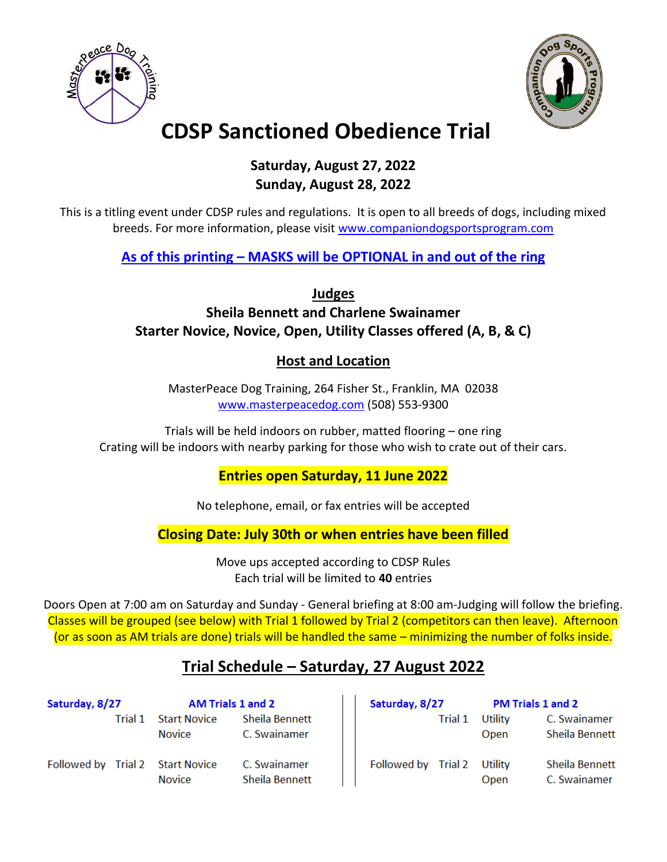



# **CDSP Sanctioned Obedience Trial**

### **Saturday, August 27, 2022 Sunday, August 28, 2022**

This is a titling event under CDSP rules and regulations. It is open to all breeds of dogs, including mixed breeds. For more information, please visit [www.companiondogsportsprogram.com](http://www.companiondogsportsprogram.com/)

**As of this printing – MASKS will be OPTIONAL in and out of the ring**

**Judges**

**Sheila Bennett and Charlene Swainamer Starter Novice, Novice, Open, Utility Classes offered (A, B, & C)**

### **Host and Location**

MasterPeace Dog Training, 264 Fisher St., Franklin, MA 02038 [www.masterpeacedog.com](http://www.masterpeacedog.com/) (508) 553-9300

Trials will be held indoors on rubber, matted flooring – one ring Crating will be indoors with nearby parking for those who wish to crate out of their cars.

### **Entries open Saturday, 11 June 2022**

No telephone, email, or fax entries will be accepted

**Closing Date: July 30th or when entries have been filled**

Move ups accepted according to CDSP Rules Each trial will be limited to **40** entries

Doors Open at 7:00 am on Saturday and Sunday - General briefing at 8:00 am-Judging will follow the briefing. Classes will be grouped (see below) with Trial 1 followed by Trial 2 (competitors can then leave). Afternoon (or as soon as AM trials are done) trials will be handled the same – minimizing the number of folks inside.

### **Trial Schedule – Saturday, 27 August 2022**

| Saturday, 8/27 |         | <b>AM Trials 1 and 2</b>             |                                | Saturday, 8/27 |         | <b>PM Trials 1 and 2</b> |                                |
|----------------|---------|--------------------------------------|--------------------------------|----------------|---------|--------------------------|--------------------------------|
|                | Trial 1 | <b>Start Novice</b><br><b>Novice</b> | Sheila Bennett<br>C. Swainamer |                | Trial 1 | Utility<br>Open          | C. Swainamer<br>Sheila Bennett |
| Followed by    | Trial 2 | <b>Start Novice</b><br><b>Novice</b> | C. Swainamer<br>Sheila Bennett | Followed by    | Trial 2 | Utility<br><b>Open</b>   | Sheila Bennett<br>C. Swainamer |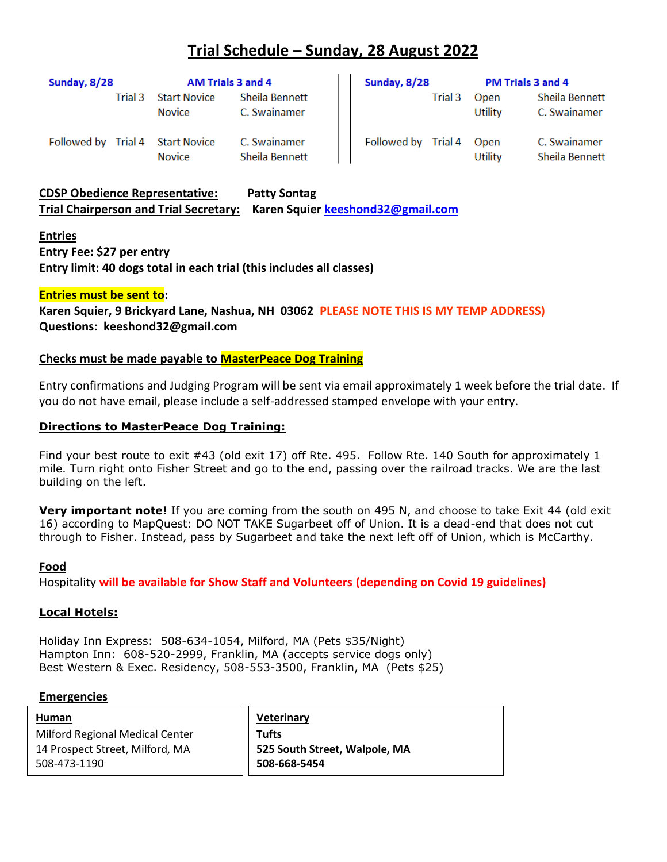### **Trial Schedule – Sunday, 28 August 2022**

| Sunday, 8/28 |         | AM Trials 3 and 4                    |                                | Sunday, 8/28        |         | PM Trials 3 and 4      |                                |
|--------------|---------|--------------------------------------|--------------------------------|---------------------|---------|------------------------|--------------------------------|
|              | Trial 3 | <b>Start Novice</b><br><b>Novice</b> | Sheila Bennett<br>C. Swainamer |                     | Trial 3 | Open<br>Utility        | Sheila Bennett<br>C. Swainamer |
| Followed by  | Trial 4 | <b>Start Novice</b><br><b>Novice</b> | C. Swainamer<br>Sheila Bennett | Followed by Trial 4 |         | Open<br><b>Utility</b> | C. Swainamer<br>Sheila Bennett |

**CDSP Obedience Representative: Patty Sontag Trial Chairperson and Trial Secretary: Karen Squier [keeshond32@gmail.com](mailto:keeshond32@gmail.com)**

#### **Entries**

**Entry Fee: \$27 per entry Entry limit: 40 dogs total in each trial (this includes all classes)**

#### **Entries must be sent to:**

**Karen Squier, 9 Brickyard Lane, Nashua, NH 03062 PLEASE NOTE THIS IS MY TEMP ADDRESS) Questions: keeshond32@gmail.com**

#### **Checks must be made payable to MasterPeace Dog Training**

Entry confirmations and Judging Program will be sent via email approximately 1 week before the trial date. If you do not have email, please include a self-addressed stamped envelope with your entry.

#### **Directions to MasterPeace Dog Training:**

Find your best route to exit #43 (old exit 17) off Rte. 495. Follow Rte. 140 South for approximately 1 mile. Turn right onto Fisher Street and go to the end, passing over the railroad tracks. We are the last building on the left.

**Very important note!** If you are coming from the south on 495 N, and choose to take Exit 44 (old exit 16) according to MapQuest: DO NOT TAKE Sugarbeet off of Union. It is a dead-end that does not cut through to Fisher. Instead, pass by Sugarbeet and take the next left off of Union, which is McCarthy.

#### **Food**

Hospitality **will be available for Show Staff and Volunteers (depending on Covid 19 guidelines)**

#### **Local Hotels:**

Holiday Inn Express: 508-634-1054, Milford, MA (Pets \$35/Night) Hampton Inn: 608-520-2999, Franklin, MA (accepts service dogs only) Best Western & Exec. Residency, 508-553-3500, Franklin, MA (Pets \$25)

#### **Emergencies**

14 Prospect Street, Milford, MA **Human** Milford Regional Medical Center 508-473-1190

**Veterinary Tufts 525 South Street, Walpole, MA 508-668-5454**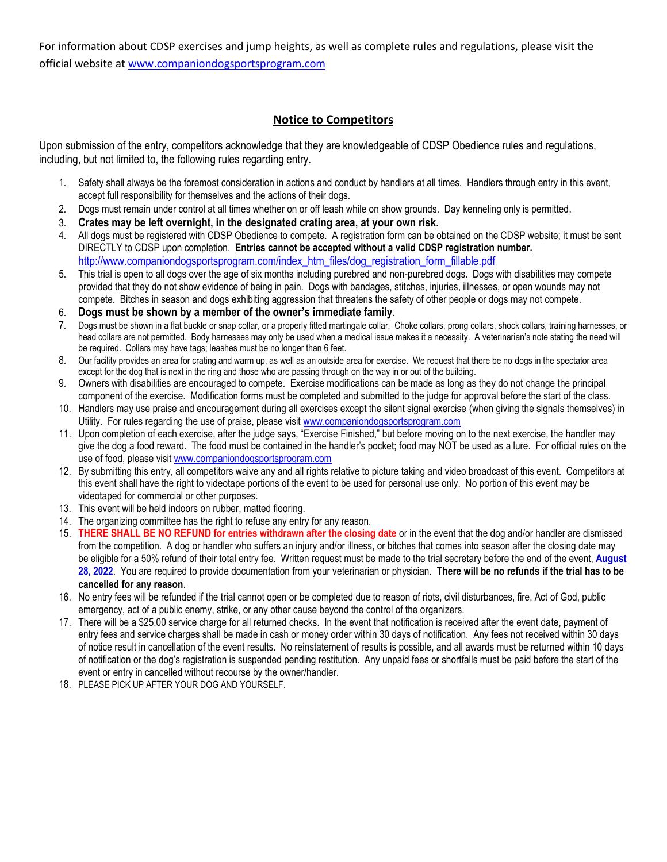For information about CDSP exercises and jump heights, as well as complete rules and regulations, please visit the official website a[t www.companiondogsportsprogram.com](http://www.companiondogsportsprogram.com/)

#### **Notice to Competitors**

Upon submission of the entry, competitors acknowledge that they are knowledgeable of CDSP Obedience rules and regulations, including, but not limited to, the following rules regarding entry.

- 1. Safety shall always be the foremost consideration in actions and conduct by handlers at all times. Handlers through entry in this event, accept full responsibility for themselves and the actions of their dogs.
- 2. Dogs must remain under control at all times whether on or off leash while on show grounds. Day kenneling only is permitted.
- 3. **Crates may be left overnight, in the designated crating area, at your own risk.**
- 4. All dogs must be registered with CDSP Obedience to compete. A registration form can be obtained on the CDSP website; it must be sent DIRECTLY to CDSP upon completion. **Entries cannot be accepted without a valid CDSP registration number.** [http://www.companiondogsportsprogram.com/index\\_htm\\_files/dog\\_registration\\_form\\_fillable.pdf](http://www.companiondogsportsprogram.com/index_htm_files/dog_registration_form_fillable.pdf)
- 5. This trial is open to all dogs over the age of six months including purebred and non-purebred dogs. Dogs with disabilities may compete provided that they do not show evidence of being in pain. Dogs with bandages, stitches, injuries, illnesses, or open wounds may not compete. Bitches in season and dogs exhibiting aggression that threatens the safety of other people or dogs may not compete.
- 6. **Dogs must be shown by a member of the owner's immediate family**.
- 7. Dogs must be shown in a flat buckle or snap collar, or a properly fitted martingale collar. Choke collars, prong collars, shock collars, training harnesses, or head collars are not permitted. Body harnesses may only be used when a medical issue makes it a necessity. A veterinarian's note stating the need will be required. Collars may have tags; leashes must be no longer than 6 feet.
- 8. Our facility provides an area for crating and warm up, as well as an outside area for exercise. We request that there be no dogs in the spectator area except for the dog that is next in the ring and those who are passing through on the way in or out of the building.
- 9. Owners with disabilities are encouraged to compete. Exercise modifications can be made as long as they do not change the principal component of the exercise. Modification forms must be completed and submitted to the judge for approval before the start of the class.
- 10. Handlers may use praise and encouragement during all exercises except the silent signal exercise (when giving the signals themselves) in Utility. For rules regarding the use of praise, please visi[t www.companiondogsportsprogram.com](http://www.companiondogsportsprogram.com/)
- 11. Upon completion of each exercise, after the judge says, "Exercise Finished," but before moving on to the next exercise, the handler may give the dog a food reward. The food must be contained in the handler's pocket; food may NOT be used as a lure. For official rules on the use of food, please visit [www.companiondogsportsprogram.com](http://www.companiondogsportsprogram.com/)
- 12. By submitting this entry, all competitors waive any and all rights relative to picture taking and video broadcast of this event. Competitors at this event shall have the right to videotape portions of the event to be used for personal use only. No portion of this event may be videotaped for commercial or other purposes.
- 13. This event will be held indoors on rubber, matted flooring.
- 14. The organizing committee has the right to refuse any entry for any reason.
- 15. **THERE SHALL BE NO REFUND for entries withdrawn after the closing date** or in the event that the dog and/or handler are dismissed from the competition. A dog or handler who suffers an injury and/or illness, or bitches that comes into season after the closing date may be eligible for a 50% refund of their total entry fee. Written request must be made to the trial secretary before the end of the event, **August 28, 2022**. You are required to provide documentation from your veterinarian or physician. **There will be no refunds if the trial has to be cancelled for any reason**.
- 16. No entry fees will be refunded if the trial cannot open or be completed due to reason of riots, civil disturbances, fire, Act of God, public emergency, act of a public enemy, strike, or any other cause beyond the control of the organizers.
- 17. There will be a \$25.00 service charge for all returned checks. In the event that notification is received after the event date, payment of entry fees and service charges shall be made in cash or money order within 30 days of notification. Any fees not received within 30 days of notice result in cancellation of the event results. No reinstatement of results is possible, and all awards must be returned within 10 days of notification or the dog's registration is suspended pending restitution. Any unpaid fees or shortfalls must be paid before the start of the event or entry in cancelled without recourse by the owner/handler.
- 18. PLEASE PICK UP AFTER YOUR DOG AND YOURSELF.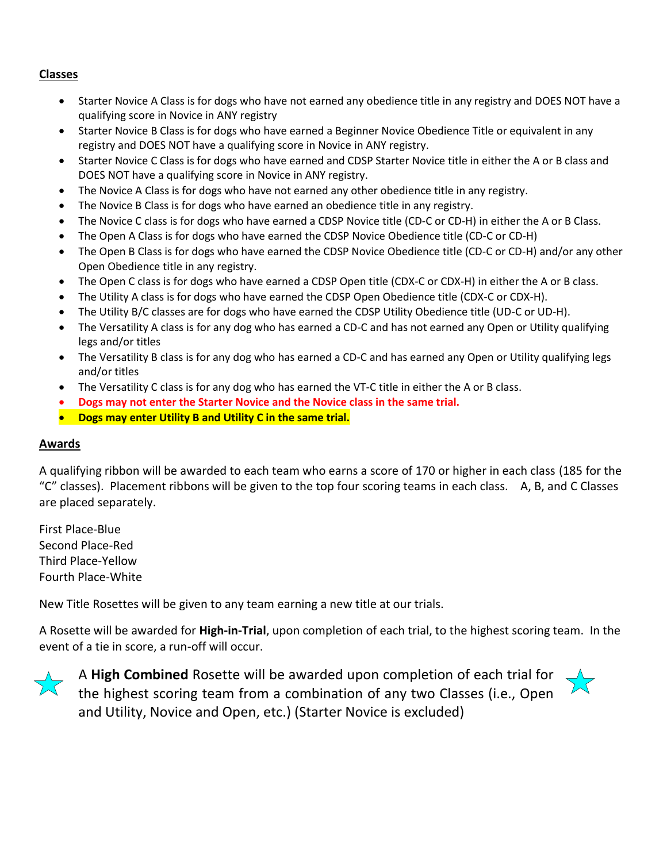#### **Classes**

- Starter Novice A Class is for dogs who have not earned any obedience title in any registry and DOES NOT have a qualifying score in Novice in ANY registry
- Starter Novice B Class is for dogs who have earned a Beginner Novice Obedience Title or equivalent in any registry and DOES NOT have a qualifying score in Novice in ANY registry.
- Starter Novice C Class is for dogs who have earned and CDSP Starter Novice title in either the A or B class and DOES NOT have a qualifying score in Novice in ANY registry.
- The Novice A Class is for dogs who have not earned any other obedience title in any registry.
- The Novice B Class is for dogs who have earned an obedience title in any registry.
- The Novice C class is for dogs who have earned a CDSP Novice title (CD-C or CD-H) in either the A or B Class.
- The Open A Class is for dogs who have earned the CDSP Novice Obedience title (CD-C or CD-H)
- The Open B Class is for dogs who have earned the CDSP Novice Obedience title (CD-C or CD-H) and/or any other Open Obedience title in any registry.
- The Open C class is for dogs who have earned a CDSP Open title (CDX-C or CDX-H) in either the A or B class.
- The Utility A class is for dogs who have earned the CDSP Open Obedience title (CDX-C or CDX-H).
- The Utility B/C classes are for dogs who have earned the CDSP Utility Obedience title (UD-C or UD-H).
- The Versatility A class is for any dog who has earned a CD-C and has not earned any Open or Utility qualifying legs and/or titles
- The Versatility B class is for any dog who has earned a CD-C and has earned any Open or Utility qualifying legs and/or titles
- The Versatility C class is for any dog who has earned the VT-C title in either the A or B class.
- **Dogs may not enter the Starter Novice and the Novice class in the same trial.**
- **Dogs may enter Utility B and Utility C in the same trial.**

#### **Awards**

A qualifying ribbon will be awarded to each team who earns a score of 170 or higher in each class (185 for the "C" classes). Placement ribbons will be given to the top four scoring teams in each class. A, B, and C Classes are placed separately.

First Place-Blue Second Place-Red Third Place-Yellow Fourth Place-White

New Title Rosettes will be given to any team earning a new title at our trials.

A Rosette will be awarded for **High-in-Trial**, upon completion of each trial, to the highest scoring team. In the event of a tie in score, a run-off will occur.



A **High Combined** Rosette will be awarded upon completion of each trial for the highest scoring team from a combination of any two Classes (i.e., Open and Utility, Novice and Open, etc.) (Starter Novice is excluded)

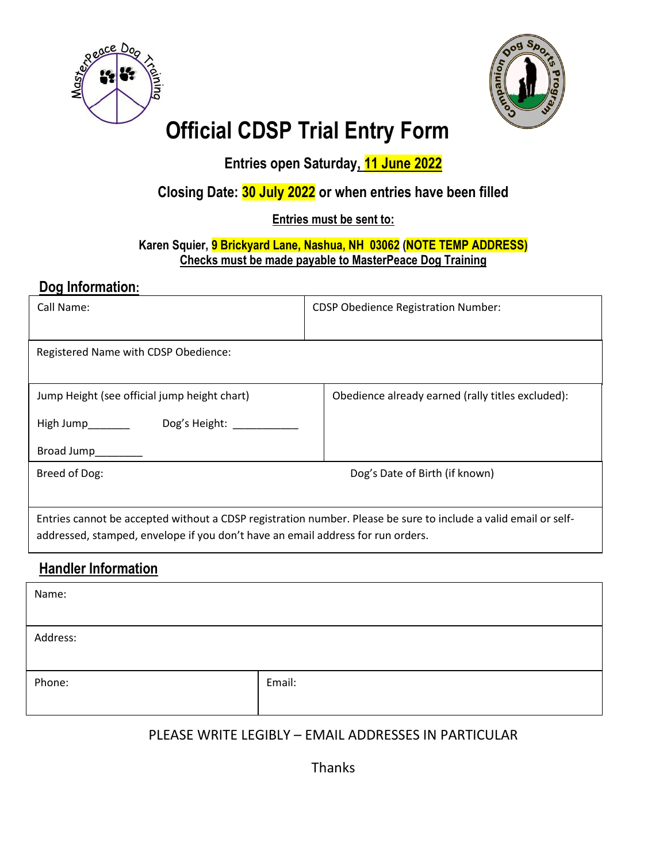



# **Official CDSP Trial Entry Form**

**Entries open Saturday, 11 June 2022**

### **Closing Date: 30 July 2022 or when entries have been filled**

### **Entries must be sent to:**

### **Karen Squier, 9 Brickyard Lane, Nashua, NH 03062 (NOTE TEMP ADDRESS) Checks must be made payable to MasterPeace Dog Training**

### **Dog Information:**

| Call Name:                                                                      | <b>CDSP Obedience Registration Number:</b>                                                                      |
|---------------------------------------------------------------------------------|-----------------------------------------------------------------------------------------------------------------|
| Registered Name with CDSP Obedience:                                            |                                                                                                                 |
| Jump Height (see official jump height chart)<br>Dog's Height:                   | Obedience already earned (rally titles excluded):                                                               |
| High Jump________<br>Broad Jump                                                 |                                                                                                                 |
| Breed of Dog:                                                                   | Dog's Date of Birth (if known)                                                                                  |
| addressed, stamped, envelope if you don't have an email address for run orders. | Entries cannot be accepted without a CDSP registration number. Please be sure to include a valid email or self- |
| <b>Handler Information</b>                                                      |                                                                                                                 |
| Name:                                                                           |                                                                                                                 |

Address: Phone: Email: Email: Email: Email: Email: Email: Email: Email: Email: Email: Email: Email: Email: Email: Email: Email: Email: Email: Email: Email: Email: Email: Email: Email: Email: Email: Email: Email: Email: Email: Email

### PLEASE WRITE LEGIBLY – EMAIL ADDRESSES IN PARTICULAR

Thanks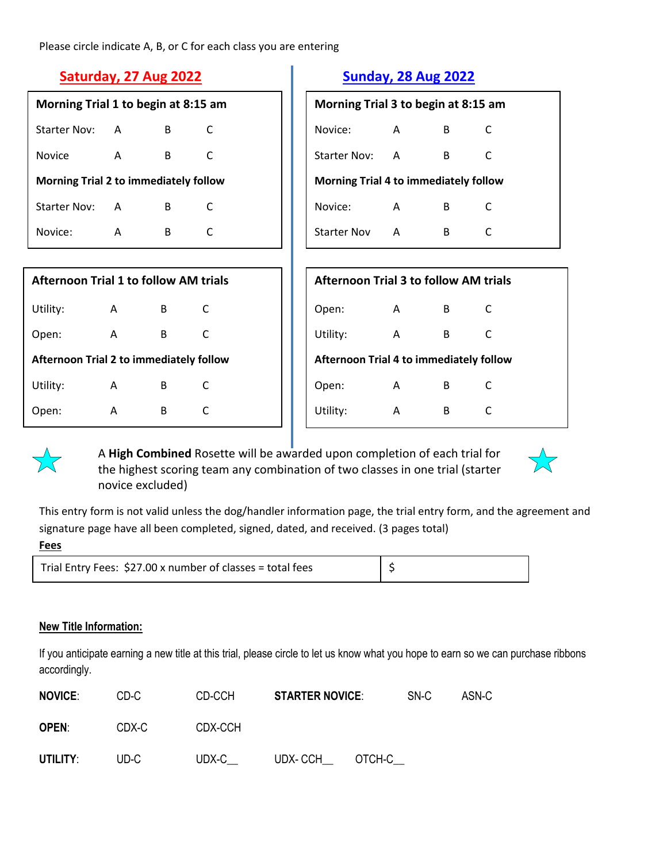Please circle indicate A, B, or C for each class you are entering

| Morning Trial 1 to begin at 8:15 am          |   |   |   |  |
|----------------------------------------------|---|---|---|--|
| Starter Nov:                                 | А | в | C |  |
| Novice                                       | A | в | C |  |
| <b>Morning Trial 2 to immediately follow</b> |   |   |   |  |
|                                              |   |   |   |  |
| <b>Starter Nov:</b>                          | A | в | C |  |

| <b>Afternoon Trial 1 to follow AM trials</b>   |   |   |   |  |
|------------------------------------------------|---|---|---|--|
| Utility:                                       | Α | в | C |  |
| Open:                                          | A | в | C |  |
| <b>Afternoon Trial 2 to immediately follow</b> |   |   |   |  |
| Utility:                                       | A | в | C |  |
| )pen:                                          | А | в | C |  |

### **Saturday, 27 Aug 2022 Sunday, 28 Aug 2022**

| Morning Trial 3 to begin at 8:15 am          |   |   |   |  |
|----------------------------------------------|---|---|---|--|
| Novice:                                      | А | в | C |  |
| Starter Nov:                                 | A | в | C |  |
| <b>Morning Trial 4 to immediately follow</b> |   |   |   |  |
|                                              |   |   |   |  |
| Novice:                                      | A | в | C |  |

| <b>Afternoon Trial 3 to follow AM trials</b>   |   |   |   |  |  |
|------------------------------------------------|---|---|---|--|--|
| Open:                                          | A | в | C |  |  |
| Utility:                                       | A | В | C |  |  |
| <b>Afternoon Trial 4 to immediately follow</b> |   |   |   |  |  |
| Open:                                          | Α | в | C |  |  |
| Utility:                                       | А | В |   |  |  |



A **High Combined** Rosette will be awarded upon completion of each trial for the highest scoring team any combination of two classes in one trial (starter novice excluded)



This entry form is not valid unless the dog/handler information page, the trial entry form, and the agreement and signature page have all been completed, signed, dated, and received. (3 pages total)

| Trial Entry Fees: \$27.00 x number of classes = total fees |  |  |
|------------------------------------------------------------|--|--|
|------------------------------------------------------------|--|--|

#### **New Title Information:**

If you anticipate earning a new title at this trial, please circle to let us know what you hope to earn so we can purchase ribbons accordingly.

| <b>NOVICE:</b> | CD-C  | CD-CCH  | <b>STARTER NOVICE:</b> |        | SN-C | ASN-C |
|----------------|-------|---------|------------------------|--------|------|-------|
| <b>OPEN:</b>   | CDX-C | CDX-CCH |                        |        |      |       |
| UTILITY:       | UD-C  | UDX-C   | UDX- CCH               | OTCH-C |      |       |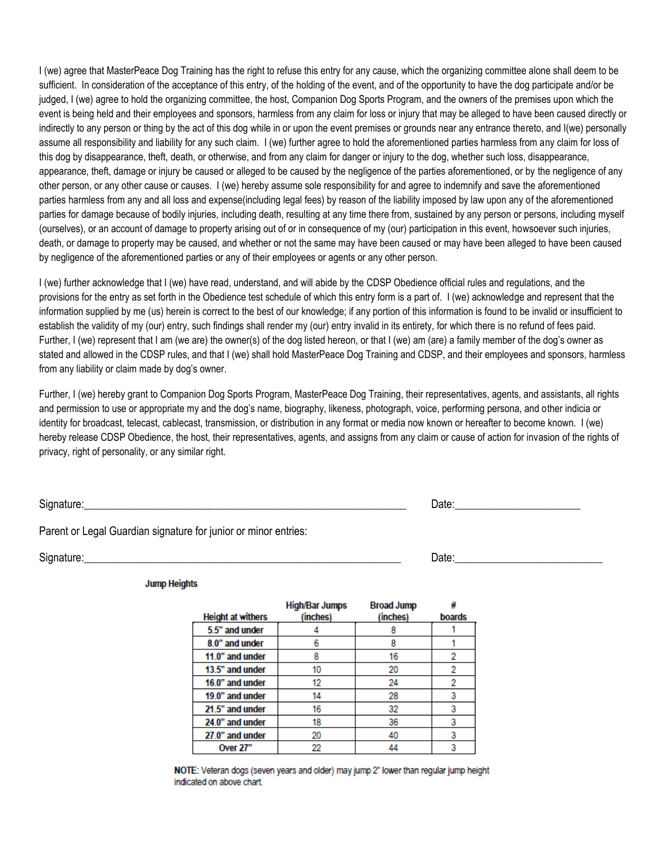I (we) agree that MasterPeace Dog Training has the right to refuse this entry for any cause, which the organizing committee alone shall deem to be sufficient. In consideration of the acceptance of this entry, of the holding of the event, and of the opportunity to have the dog participate and/or be judged, I (we) agree to hold the organizing committee, the host, Companion Dog Sports Program, and the owners of the premises upon which the event is being held and their employees and sponsors, harmless from any claim for loss or injury that may be alleged to have been caused directly or indirectly to any person or thing by the act of this dog while in or upon the event premises or grounds near any entrance thereto, and I(we) personally assume all responsibility and liability for any such claim. I (we) further agree to hold the aforementioned parties harmless from any claim for loss of this dog by disappearance, theft, death, or otherwise, and from any claim for danger or injury to the dog, whether such loss, disappearance, appearance, theft, damage or injury be caused or alleged to be caused by the negligence of the parties aforementioned, or by the negligence of any other person, or any other cause or causes. I (we) hereby assume sole responsibility for and agree to indemnify and save the aforementioned parties harmless from any and all loss and expense(including legal fees) by reason of the liability imposed by law upon any of the aforementioned parties for damage because of bodily injuries, including death, resulting at any time there from, sustained by any person or persons, including myself (ourselves), or an account of damage to property arising out of or in consequence of my (our) participation in this event, howsoever such injuries, death, or damage to property may be caused, and whether or not the same may have been caused or may have been alleged to have been caused by negligence of the aforementioned parties or any of their employees or agents or any other person.

I (we) further acknowledge that I (we) have read, understand, and will abide by the CDSP Obedience official rules and regulations, and the provisions for the entry as set forth in the Obedience test schedule of which this entry form is a part of. I (we) acknowledge and represent that the information supplied by me (us) herein is correct to the best of our knowledge; if any portion of this information is found to be invalid or insufficient to establish the validity of my (our) entry, such findings shall render my (our) entry invalid in its entirety, for which there is no refund of fees paid. Further, I (we) represent that I am (we are) the owner(s) of the dog listed hereon, or that I (we) am (are) a family member of the dog's owner as stated and allowed in the CDSP rules, and that I (we) shall hold MasterPeace Dog Training and CDSP, and their employees and sponsors, harmless from any liability or claim made by dog's owner.

Further, I (we) hereby grant to Companion Dog Sports Program, MasterPeace Dog Training, their representatives, agents, and assistants, all rights and permission to use or appropriate my and the dog's name, biography, likeness, photograph, voice, performing persona, and other indicia or identity for broadcast, telecast, cablecast, transmission, or distribution in any format or media now known or hereafter to become known. I (we) hereby release CDSP Obedience, the host, their representatives, agents, and assigns from any claim or cause of action for invasion of the rights of privacy, right of personality, or any similar right.

Signature:\_\_\_\_\_\_\_\_\_\_\_\_\_\_\_\_\_\_\_\_\_\_\_\_\_\_\_\_\_\_\_\_\_\_\_\_\_\_\_\_\_\_\_\_\_\_\_\_\_\_\_\_\_\_\_\_\_\_\_ Date:\_\_\_\_\_\_\_\_\_\_\_\_\_\_\_\_\_\_\_\_\_\_\_

Parent or Legal Guardian signature for junior or minor entries:

Signature:<br>
Signature:

**Jump Heights** 

| <b>Height at withers</b> | <b>High/Bar Jumps</b><br>(inches) | <b>Broad Jump</b><br>(inches) | boards |
|--------------------------|-----------------------------------|-------------------------------|--------|
| 5.5" and under           |                                   |                               |        |
| 8.0" and under           | 6                                 | 8                             |        |
| 11.0" and under          | 8                                 | 16                            | 2      |
| 13.5" and under          | 10                                | 20                            |        |
| 16.0" and under          | 12                                | 24                            | 2      |
| 19.0" and under          | 14                                | 28                            | 3      |
| 21.5" and under          | 16                                | 32                            | 3      |
| 24.0" and under          | 18                                | 36                            | 3      |
| 27.0" and under          | 20                                | 40                            | 3      |
| Over 27"                 | 22                                | 44                            |        |

NOTE: Veteran dogs (seven years and older) may jump 2" lower than regular jump height indicated on above chart.